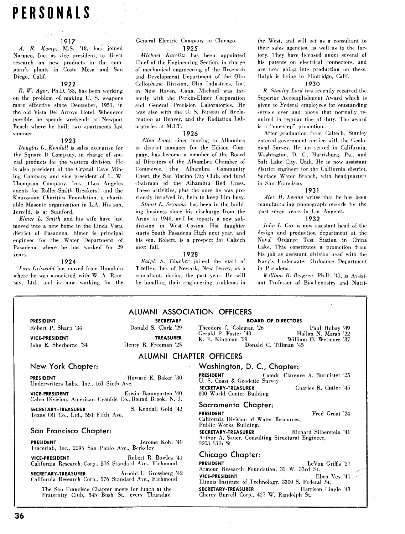# **PERSONALS**

### 1917

*A.* R. *Kernp,* M.S. '18, has joined Narmco, Inc. as vice president, to direct research on new products in the company's plants in Costa Mesa and San Diego, Calif.

### 1922

*R. W. Ager,* Ph.D. '33, has been working on the problem of making **U.** S. weapons more effective since December, 1951, in the old Vista Del Arroyo Hotel. Whenever possible he spends weekends at Newport Beach where he built two apartments last summer.

### 1923

Douglas **C.** *Kendall* is sales executive for the Square I) Company, in charge of special products for the western division. He is also president of the Crystal Cave Mining Company and vice president of L. W. Thompson Company, Inc., (Los Angeles agents for Roller-Smith Breakers) and the Knoxonian Charities Foundation, a charitable Masonic organization in L.A. His son, Jerrold, is at Stanford.

*Elmer L. Smith* and his wife have just moved into a new home in the Linda Vista district of Pasadena. Elmer is principal engineer for the Water Department of Pasadena, where he has worked for 29 years.

### 1924

Loys Griswold has moved from Honolulu where he was associated with W. A. Ramsay, Ltd., and is now working for the

### General Electric Company in Chicago. 1925

*Michael Karelitz* has been appointed Chief of the Engineering Section, in charge of mechanical engineering of the Research and Development Department of the Olin Cellophane Division, Olin Industries, Inc. in New Haven, Conn. Michael was formerly with ihe Perkin-Elmer Corporation and General Precision Laboratories. He was also with the U. S. Bureau of Redamation at Denver, and the Radiation Laboratories at M.I.T.

### 1926

Allen Laws. since moving to Alhambra as district manager for the Edison Company, has become a member of the Board of Directors of the Alhambra Chamber of Commerce, the Alhambra Community Chest, the San Marino City Club, and fund chairman of the Alhambra Red Cross. These activities, plus the ones he was previously involved in, help to keep him busy.

*Stuart L. Seymour* has been in the building business since his discharge from the Army in 1946, an1 he reports a new subdivision in West Covina. His daughter starts South Pasadena High next year, and his son. Robert, is a prospect for Caltech next fall.

### 1928

*Riilph* S. *Tharker* joined the staff of Titeflex, Inc. of Newark, New Jersey, as a consultant, during the past year. He will be handling their engineering problems in the West, and will pet as a consultant to their sales agencies, as well as to the factory. They have licensed under several of his patents on electrical connectors, and are now going into production on these. Ralph is living in Flintridge, Calif.

### 1930

*R. Stanley Lord* has recently received the Superior Accomplishment Award which is given to Federal employees for outstanding service over and above that normally required in regular line of duty. The award is a "one-step" promotion.

After graduation from Caltech, Stanley entered government service with the Geological Survey. He has served in California. Washington, I). **C.,** Harrisburg, Pa., and Salt Lake City, Utah. He is now assistant district engineer for the California district. Surface Water Branch, with headquarters in San Francisco.

### 1931

*Alex H. Levine* writes that he has been manufacturing phonograph records for the past seven years in Lo? Angeles.

### 1932

*John L. Cox* is now assistant head of the design and production department at the Nava<sup>1</sup> Ordance Test Station in China Lake. This constitutes a promotion from his job as assistant division head with the Navy's Underwater 01 dnance Department in Pasadena.

*William R. Bergren*, Ph.D. '41, is Assistant Professor of Bioclemistry and Nutri-

### ALUMNI ASSOCIATION OFFICERS

**PRESIDENT**  Robert P. Sharp **'34** 

### **PRESIDENT Howard E. Baker '30**

**VICE-PRESIDENT**  John E. Sherhorne '34

Underwriters Labs., Inc., 161 Sixth Ave. **VICE-PRESIDENT** Erwin Baumgarten '40

Calco Division, American Cyanide Co., Bound Brook, N. J.

**SECRETARY-TREASURER** S. Kendall Gold '42 Texas Oil Co., Ltd., 551 Fifth Ave.

### San Francisco Chapter:

**PRESIDENT**  . . Jerome Kohl '40 Iracerlab, Inc., 2295 San l'ablo Ave., Berkeley

**VICE-PRESIDENT** Robert R. Bowles '41 California Research Corp., 576 Standard Ave., Richmond

SECRETARY-TREASURER Arnold L. Grossberg '42 California Research Corp., 576 Standard Ave., Richmond

The San Francisco Chapter meets for lunch at the Fraternity Club, 345 Bush St., every Thursday.

Donald S. Clark '29 Theodore C. Coleman '26 Paul Hubay '49 Paul Hubay '49 Cerald P. Foster '40 Hallan N. Marsh '22 Gerald P. Foster '40 Hallan N. Marsh '22<br>
K. E. Kingman '29 William O. Wetmore '37 **TREASURER TREASURER K. E. Kingman '29** William 0. Wetmore '37<br>Ilenry R. Freeman '25 **K. E. Kingman** '29 **Donald C. Tillman** '45 Donald C. Tillman '45

ALUMNI CHAPTER OFFICERS

### New York Chapter: Washington, D. C., Chapter:

**PRESIDENT** Comdr. Clarence A. Burmister '25 U. S. Coast & Geodetic Survey

**SECRETARY-TREASURER** Charles R. Cutler '45 800 World Center Building

### Sacramento Chapter:

**PRESIDENT Fred Groat '24** 

California Division of Water Resources, Public Works Building.

**SECRETARY-TREASURER** Richard Silberstein '41 Arthur A. Saner, Consulting Structural Engineer, 2203 13th St.

### Chicago Chapter:

**PRESIDENT** LeVan Griffis '37 Armour Research Foundation, 35 W. 33rd St.<br>VICE-PRESIDENT

**VICE-PRESIDENT** Eben Vey '41 Illinois Institute of Technology, 3300 S. Federal St. **SECRETARY-TREASURER** Harrison Lingle '43 Cherry Burrell Corp., 427 W. Randolph St.

**SECRETARY BOARD OF DIRECTORS**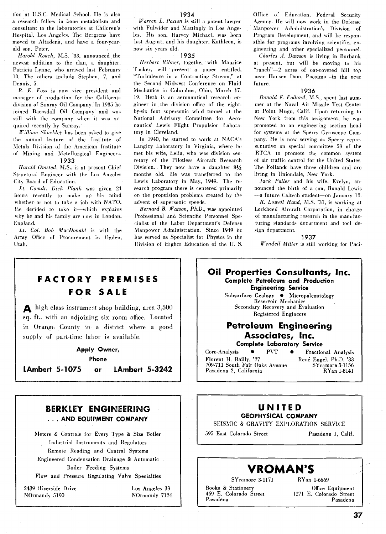tion at U.S.C. Medical School. He is also a research fellow in bone metabolism and consultant to the laboratories at Children's Hospital, Los Angeles. The Bergrens have moved to Altadena, and have a four-yearold son, Peter.

*Harold Roach,* M.S '33, announced the newest addition to the clan, a daughter, Patricia Lynne, who arrived last February **10.** The others include Stephen, 7, and Dennis, 5.

*R. E. Foss* is now lice president and manager of production for the California division of Sunray Oil Company. In 1935 he joined Barnsdall Oil Company and was still with the company when it was acquiied recently hy Sunray.

*William Shackle)* has been asked to give the annual lecture of the Institute of Metals Division of the American Institute of Mining and Metallurgical Engineers.

### **1933**

*Harold Omtted,* M.S., is at present Chief Structural Engineer with the Los Angeles City Board of Education.

*Lt. Camdr.* Dick *Plank* was given 24 hours recently to make up his mind whether or not to take a job with NATO. He decided to take it-which explains why he and his family are now in London, England.

*Lt. Col. Bob MacDonald* is with the Army Office of Procurement in Ogden, Utah.

*Warren L. Patton* is still a patent lawyer with Fulwider and Mattingly in Los Angeles. His son, Harvey Michael, was born last August, and his daughter, Kathleen, is now six years old.

### **1935**

*Herbert Rihner,* together with Maurice Tucker, will present a paper entitled. "Turbulence in a Contracting Stream," at the Second Midwest Conference on Fluid Mechanics in Columbus, Ohio, March 17- 19. Herb is an aeronautical research engineer in the division office of the eightby six foot supersonic wind tunnel at the National Advisory Committee for Aeronautics' Lewis Flight Propulsion Lahoratory in Cleveland.

In **1940,** he started to work at NACA's Langley Laboratory in Virginia, where he met his wife, Lelia, who was division secretary of the Pilotless Aircraft Research Division. They now have a daughter  $8\frac{1}{2}$ months old. He was transferred to the Lewis Laboratory in May, **1949.** The research program there is centered primarily on the propulsion problems created by the advent of supersonic speeds.

*Bernard* **B.** *Watson, Ph.D.,* was appointed Professional and Scientific Personnel Specialist of the Labor Department's Defense Manpower Administration. Since **1949** he has served as Specialist for Physics **ii** the Division of Higher Education of the U. S.

Office of Education, Federal Security Agency. He will now work in the Defense Manpower Administration's Division of Program Development, and will be responsible for programs involving scientific, engineering and other specialized personnel.

*Charles A. Dawson* is living in Burbank at present, but will be moving to his "ranch"-2 acres of oat-covered hill top near Hansen Dam, Pacoima-in the near future.

### **1936**

*Donald F. Folland,* M.S., spent last summer at the Naval Air Missile Test Center at Point Mugu, Calif. Upon returning to New York from this assignment, he was promoted to an engineering section head for systems at the Sperry Gyroscope Company. He is now serving as Sperry represtntative on special committee 59 of the RTCA to promote the common system of air traffic control for the United States. The Follands have three children and are living in Uniondale, New York.

*Jack Palter* and his wife, Evelyn, announced the birth of a son, Ronald Lewis -a future Callech student-on January **12.** 

*R. Lowell Hand,* M.S. "37, is working at Lockheed Aircraft Corporation, in charge of manufacturing research in the manufacturing standards department and tool design department.

**1937**  *Wendell Miller* is still working for Paci-



SEISMIC & GRAVITY EXPLORATION SERVICE

<sup>1</sup>595 East Colorado Street Pasadena **1,** Calif.

### **VROMAN'S**

Sycamore **3-1171** Ryan **1-6669** 

Books & Stationery<br>
469 E. Colorado Street<br>
1271 E. Colorado Street<br>
1271 E. Colorado Street **469** E. Colorado Street 1271 E. Colorado Street Pasadena

## **FACTORY PREMISES FOR SALE**

A high class instrument shop building, area 3,500 sq. ft.. with an adjoining six room office. Located in Orange County in a district where a good supply of part-time labor is available.

## **Apply Owner,**

**Phone** 

**LAmbert 5-1075 or LAmbert 5-3242** 

### **BERKLEY ENGINEERING** . . . **AND EQUIPMENT COMPANY**

Meters & Contiols for Every Type & Size Boiler Industrial Instruments and Regulators Remote Reading and Control Systems

Engineered Condensation Drainage & Automatic Doiler Feeding Systems

Flow and Pressure Regulating Valve Specialties

**2439** Riverside Drive Normandy 51 **90** 

Los Angeles 39 Normandy 7124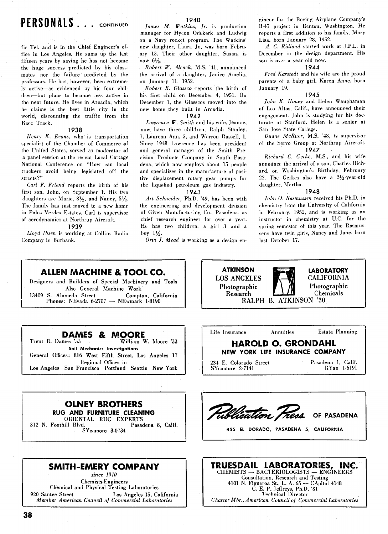## **PERSONALS** . . . **CONTINUED**

fie Tel. and is in the Chief Engineer's office in Los Angeles. He sums up the last fifteen years by saying he has not become the huge success predicted by his classmates-nor the failure predicted by the professors. He has, however, been extremely active-as evidenced by his four children-but plans to become less active in the near future. He lives in Arcadia, which he claims is the best little city in the world, discounting the traffic from the Race Track.

#### 1938

*Henry K. Evans,* who is transportation specialist of the Chamber of Commerce of the United States, served as moderator of a panel session at the recent Local Cartage National Conference on "How can local truckers avoid being legislated off the streets?''

*Carl* F. *Friend* reports the birth of his first son, John, on September **1.** His two daughters are Marie, 81/2, and Nancy, 51/2. The family has just moved to a new home in Palos Verdes Estates. Carl is supervisor of aerodynamics at Northrup Aircraft.

### 1939

*Lloyd lbsen* is working at Collins Radio Company in Burbank.

*James M. Watkins, Jr.* is production manager for Hycon Odekerk and Ludwig on a Navy rocket program. The Watkins' new daughter, Laura Jo, was born February **13.** Their other daughter, Susan, is now **6%.** 

*Robert W. Alcock,* MS. **'41,** announced the arrival of a daughter, Janice Amelia, on January **11, 1952.** 

*Robert B. Glassco* reports the birth of hi, first child on December **4, 1951.** On December **1,** the Glasscos moved into the new home they built in Arcadia.

### 1942

*Lawrence W. Smith* and his wife, Jeanne, now have three children, Ralph Stanley, 7, Laurean Ann, 5, and Warren Russell, 1. Since **1948** Lawrence has been president and general manager of the Smith Precision Products Company in South Pasadena, which now employs about **15** people and specializes in the manufacture of positive displacement rotary gear pumps for the liquefied petroleum gas industry.

### 1943

*Art Schneider,* Ph.D. **'49,** has been with the engineering and development division of Given Manufacturing Co., Pasadena, as chief research engineer for over a year. He has two children, a girl 3 and a hoy **1%.** 

*Orin J. Mead* is working as a design en-

gineer for the Boeing Airplane Company's **B-47** project in Renton, Washington. He reports a first addition to his family, Mary Lisa, born January 28, **1952.** 

**A.** *C. Ridland* started work at J.P.L. in December in the design department. His son is over a year old now.

### 1944

*Fred Karstedt* and his wife are the proud parents of a baby girl, Karen Anne, born January **19.** 

### 1945

*John K. Honey* and Helen Waughaman of Los Altos, Calif., have announced their engagement. John is studying for his doctorate at Stanford. Helen is a senior at San Jose State College.

*Duane McRuer,* M.S. '48, is supervisor of the Servo Group at Northrup Aircraft. 1947

*Richard C. Cerke,* MS., and his wife announce the arrival of a son, Charles Richard, on Washington's Birthday, February 22. The Gerkes also have a 21/2-year-old daughter, Martha.

### 1948

*John 0. Rasmussen* received his Ph.D. in chemistry from the University of California in February, **1952,** and is working as an instructor in chemistry at U.C. for the spring semester of this year. The Rasmussens have twin girls, Nancy and Jane. born last October 17.

### **ALLEN MACHINE** & **TOOL CO.**

Designers and Builders of Special Machinery and Tools Also General Machine Work 13409 S. Alameda Street Compton, California Phones: NEvada **6-2707** - NEwmark **1-8190** 



**LOS ANGELES** 

**ATKINSON LABORATORY**<br>OS ANGELES **LABORATORY** 

### **DAMES** & **MOORE**

| Trent R. Dames '33<br>William W. Moore '33             |  |  |  |  |
|--------------------------------------------------------|--|--|--|--|
| Soil Mechanics Investigations                          |  |  |  |  |
| General Offices: 816 West Fifth Street, Los Angeles 17 |  |  |  |  |
| Regional Offices in                                    |  |  |  |  |
| Los Angeles San Francisco Portland Seattle New York    |  |  |  |  |
|                                                        |  |  |  |  |



**RUG AND FURNITURE CLEANING** 

ORIENTAL **RUG** EXPERTS 312 N. Foothill Blvd. Sycamore **3-0734** 

### **SMITH-EMERY COMPANY**

*since* **1910**  Chemists-Engineers Cliemical and Physical Testing Laboratories 920 Santee Street Los Angeles **15,** California *Member American Council* of *Commercial Laboratories* 



1 **455 EL DORADO, PASADENA 5, CALIFORNIA** 

OF PASADENA

*Charter Mbr., American Council 01 Commercial Laboratories*